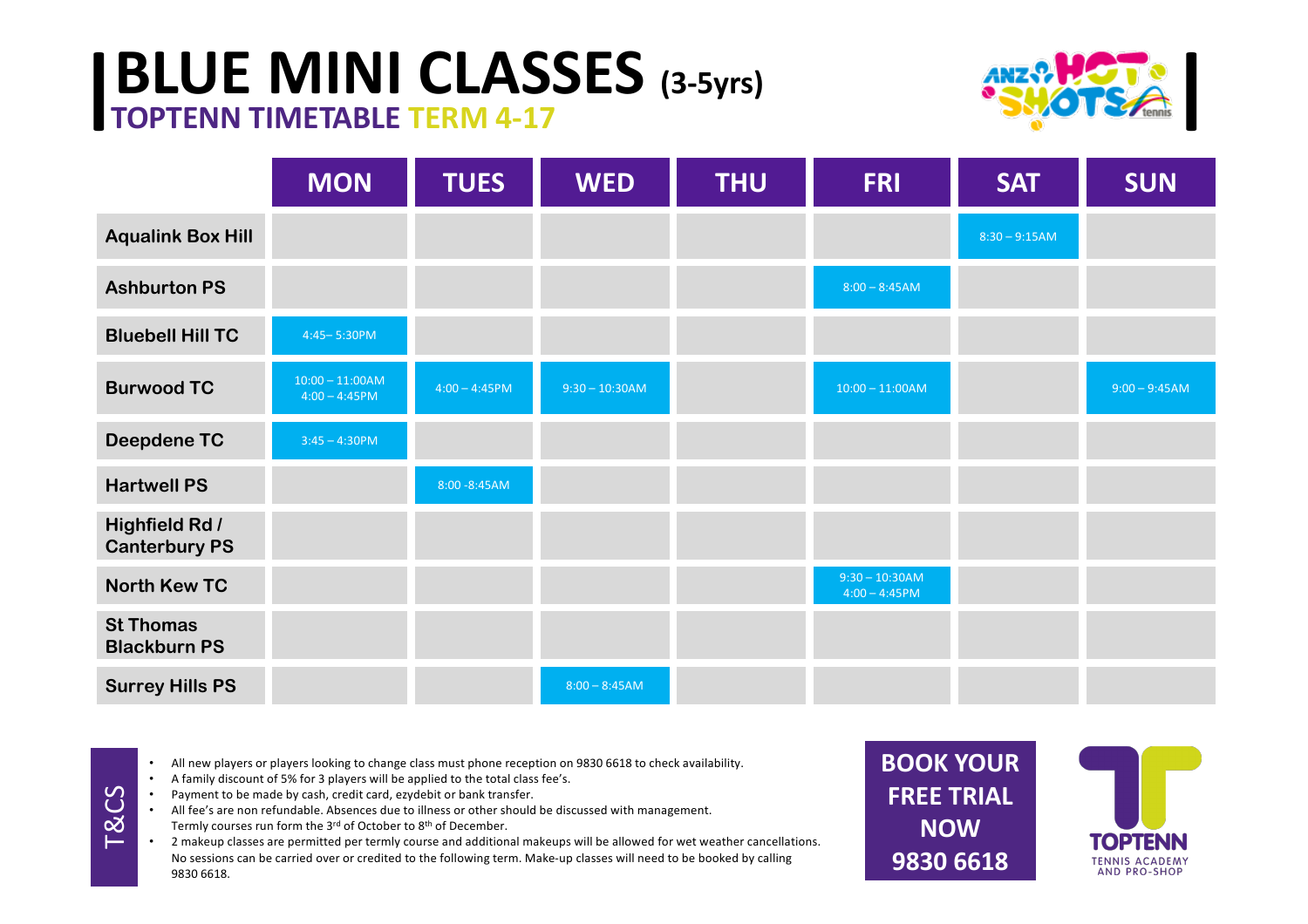## **BLUE MINI CLASSES** (3-5yrs) **ANZANCTA**<br> **TOPTENN TIMETABLE TERM 4-17**



|                                               | <b>MON</b>                            | <b>TUES</b>      | <b>WED</b>       | <b>THU</b> | <b>FRI</b>                           | <b>SAT</b>      | <b>SUN</b>      |
|-----------------------------------------------|---------------------------------------|------------------|------------------|------------|--------------------------------------|-----------------|-----------------|
| <b>Aqualink Box Hill</b>                      |                                       |                  |                  |            |                                      | $8:30 - 9:15AM$ |                 |
| <b>Ashburton PS</b>                           |                                       |                  |                  |            | $8:00 - 8:45AM$                      |                 |                 |
| <b>Bluebell Hill TC</b>                       | 4:45-5:30PM                           |                  |                  |            |                                      |                 |                 |
| <b>Burwood TC</b>                             | $10:00 - 11:00AM$<br>$4:00 - 4:45$ PM | $4:00 - 4:45$ PM | $9:30 - 10:30AM$ |            | $10:00 - 11:00AM$                    |                 | $9:00 - 9:45AM$ |
| <b>Deepdene TC</b>                            | $3:45 - 4:30$ PM                      |                  |                  |            |                                      |                 |                 |
| <b>Hartwell PS</b>                            |                                       | 8:00 - 8:45 AM   |                  |            |                                      |                 |                 |
| <b>Highfield Rd /</b><br><b>Canterbury PS</b> |                                       |                  |                  |            |                                      |                 |                 |
| <b>North Kew TC</b>                           |                                       |                  |                  |            | $9:30 - 10:30AM$<br>$4:00 - 4:45$ PM |                 |                 |
| <b>St Thomas</b><br><b>Blackburn PS</b>       |                                       |                  |                  |            |                                      |                 |                 |
| <b>Surrey Hills PS</b>                        |                                       |                  | $8:00 - 8:45AM$  |            |                                      |                 |                 |

- All new players or players looking to change class must phone reception on 9830 6618 to check availability.
- A family discount of 5% for 3 players will be applied to the total class fee's.
- Payment to be made by cash, credit card, ezydebit or bank transfer.

R<sub>CS</sub>

All fee's are non refundable. Absences due to illness or other should be discussed with management. Termly courses run form the  $3^{rd}$  of October to  $8^{th}$  of December.

• 2 makeup classes are permitted per termly course and additional makeups will be allowed for wet weather cancellations. No sessions can be carried over or credited to the following term. Make-up classes will need to be booked by calling 9830 6618.

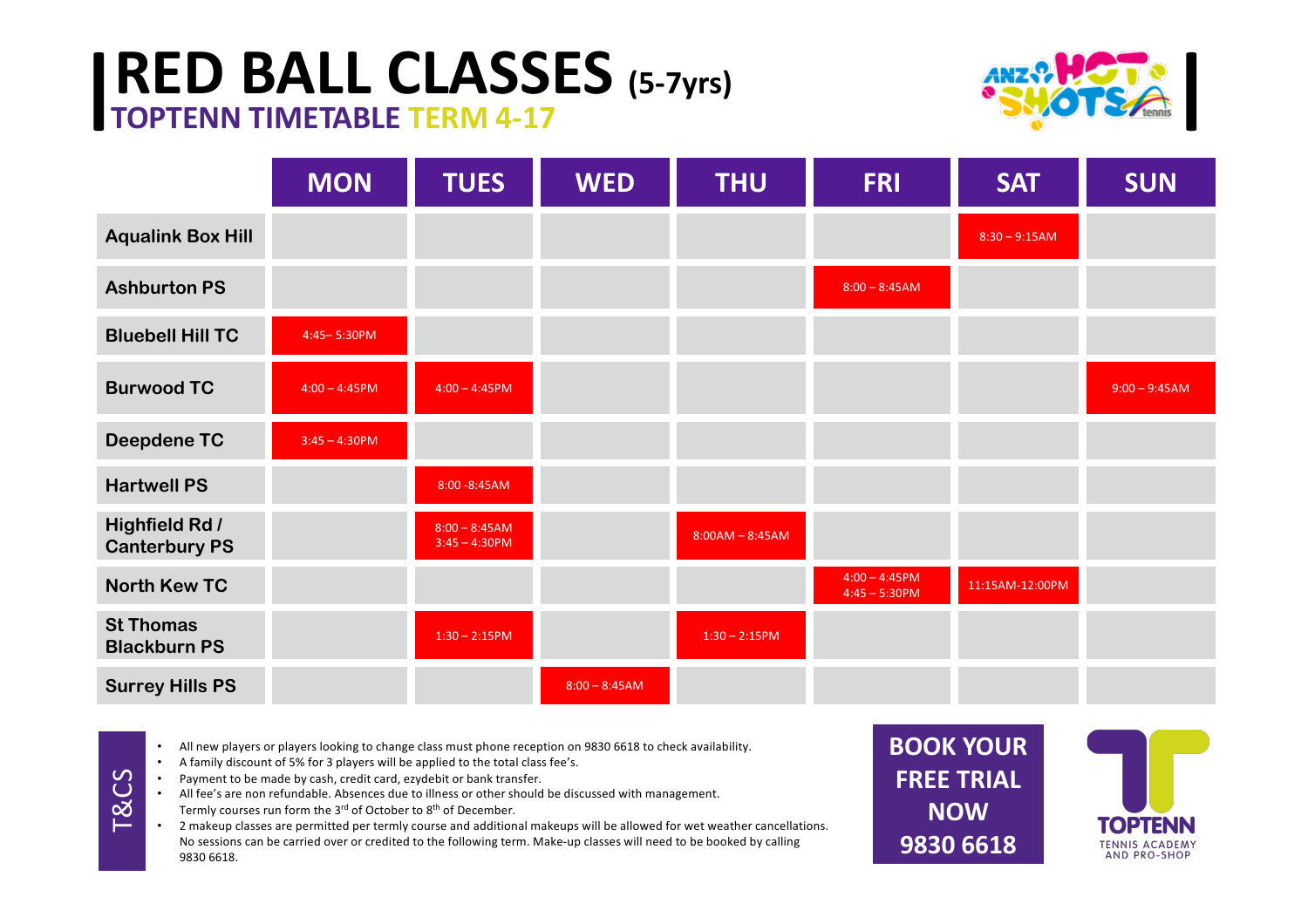## **| RED BALL CLASSES** (5-7yrs) **TOPTENN TIMETABLE TERM 4-17**



|                                               | <b>MON</b>       | <b>TUES</b>                         | <b>WED</b>      | <b>THU</b>        | <b>FRI</b>                           | <b>SAT</b>      | <b>SUN</b>      |
|-----------------------------------------------|------------------|-------------------------------------|-----------------|-------------------|--------------------------------------|-----------------|-----------------|
| <b>Aqualink Box Hill</b>                      |                  |                                     |                 |                   |                                      | $8:30 - 9:15AM$ |                 |
| <b>Ashburton PS</b>                           |                  |                                     |                 |                   | $8:00 - 8:45AM$                      |                 |                 |
| <b>Bluebell Hill TC</b>                       | 4:45-5:30PM      |                                     |                 |                   |                                      |                 |                 |
| <b>Burwood TC</b>                             | $4:00 - 4:45$ PM | $4:00 - 4:45$ PM                    |                 |                   |                                      |                 | $9:00 - 9:45AM$ |
| <b>Deepdene TC</b>                            | $3:45 - 4:30$ PM |                                     |                 |                   |                                      |                 |                 |
| <b>Hartwell PS</b>                            |                  | 8:00 - 8:45 AM                      |                 |                   |                                      |                 |                 |
| <b>Highfield Rd /</b><br><b>Canterbury PS</b> |                  | $8:00 - 8:45AM$<br>$3:45 - 4:30$ PM |                 | $8:00AM - 8:45AM$ |                                      |                 |                 |
| <b>North Kew TC</b>                           |                  |                                     |                 |                   | $4:00 - 4:45$ PM<br>$4:45 - 5:30$ PM | 11:15AM-12:00PM |                 |
| <b>St Thomas</b><br><b>Blackburn PS</b>       |                  | $1:30 - 2:15$ PM                    |                 | $1:30 - 2:15$ PM  |                                      |                 |                 |
| <b>Surrey Hills PS</b>                        |                  |                                     | $8:00 - 8:45AM$ |                   |                                      |                 |                 |

• All new players or players looking to change class must phone reception on 9830 6618 to check availability.

- A family discount of 5% for 3 players will be applied to the total class fee's.
- Payment to be made by cash, credit card, ezydebit or bank transfer.
- All fee's are non refundable. Absences due to illness or other should be discussed with management.
- Termly courses run form the  $3^{rd}$  of October to  $8^{th}$  of December.

T&CS

2 makeup classes are permitted per termly course and additional makeups will be allowed for wet weather cancellations. No sessions can be carried over or credited to the following term. Make-up classes will need to be booked by calling 9830 6618.

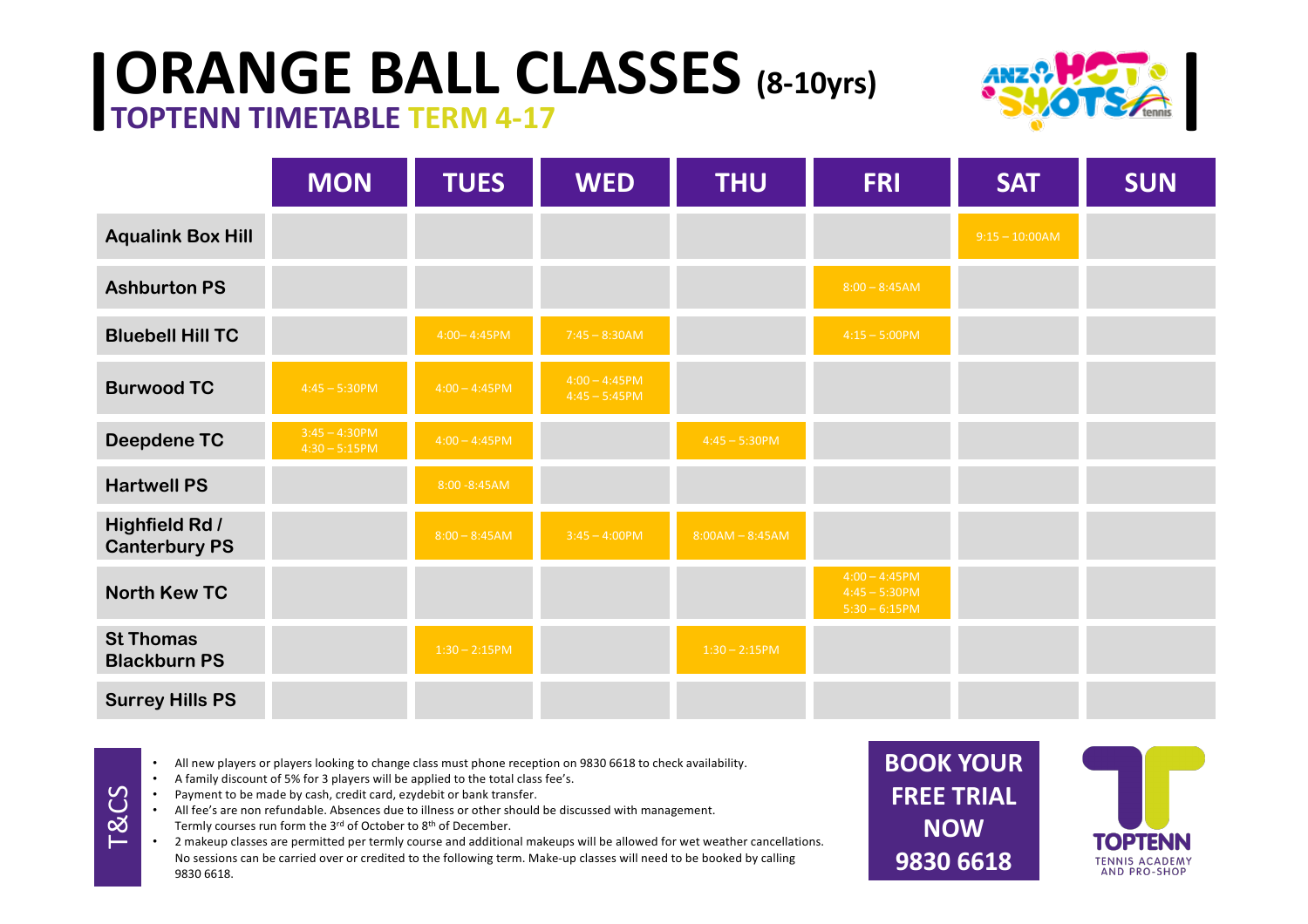## **| ORANGE BALL CLASSES** (8-10yrs) **TOPTENN TIMETABLE TERM 4-17**



|                                               | <b>MON</b>                           | <b>TUES</b>      | <b>WED</b>                           | <b>THU</b>        | <b>FRI</b>                                              | <b>SAT</b>       | <b>SUN</b> |
|-----------------------------------------------|--------------------------------------|------------------|--------------------------------------|-------------------|---------------------------------------------------------|------------------|------------|
| <b>Aqualink Box Hill</b>                      |                                      |                  |                                      |                   |                                                         | $9:15 - 10:00AM$ |            |
| <b>Ashburton PS</b>                           |                                      |                  |                                      |                   | $8:00 - 8:45AM$                                         |                  |            |
| <b>Bluebell Hill TC</b>                       |                                      | $4:00 - 4:45$ PM | $7:45 - 8:30AM$                      |                   | $4:15 - 5:00$ PM                                        |                  |            |
| <b>Burwood TC</b>                             | $4:45 - 5:30$ PM                     | $4:00 - 4:45$ PM | $4:00 - 4:45$ PM<br>$4:45 - 5:45$ PM |                   |                                                         |                  |            |
| <b>Deepdene TC</b>                            | $3:45 - 4:30$ PM<br>$4:30 - 5:15$ PM | $4:00 - 4:45$ PM |                                      | $4:45 - 5:30$ PM  |                                                         |                  |            |
| <b>Hartwell PS</b>                            |                                      | 8:00 - 8:45 AM   |                                      |                   |                                                         |                  |            |
| <b>Highfield Rd /</b><br><b>Canterbury PS</b> |                                      | $8:00 - 8:45AM$  | $3:45 - 4:00$ PM                     | $8:00AM - 8:45AM$ |                                                         |                  |            |
| <b>North Kew TC</b>                           |                                      |                  |                                      |                   | $4:00 - 4:45$ PM<br>$4:45 - 5:30$ PM<br>$5:30 - 6:15PM$ |                  |            |
| <b>St Thomas</b><br><b>Blackburn PS</b>       |                                      | $1:30 - 2:15$ PM |                                      | $1:30 - 2:15$ PM  |                                                         |                  |            |
| <b>Surrey Hills PS</b>                        |                                      |                  |                                      |                   |                                                         |                  |            |

- All new players or players looking to change class must phone reception on 9830 6618 to check availability.
- A family discount of 5% for 3 players will be applied to the total class fee's.
- Payment to be made by cash, credit card, ezydebit or bank transfer.

T&CS

All fee's are non refundable. Absences due to illness or other should be discussed with management. Termly courses run form the  $3^{rd}$  of October to  $8^{th}$  of December.

2 makeup classes are permitted per termly course and additional makeups will be allowed for wet weather cancellations. No sessions can be carried over or credited to the following term. Make-up classes will need to be booked by calling 9830 6618.